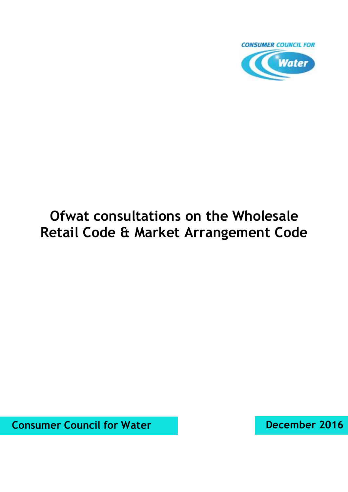

# **Ofwat consultations on the Wholesale Retail Code & Market Arrangement Code**

**Consumer Council for Water December 2016**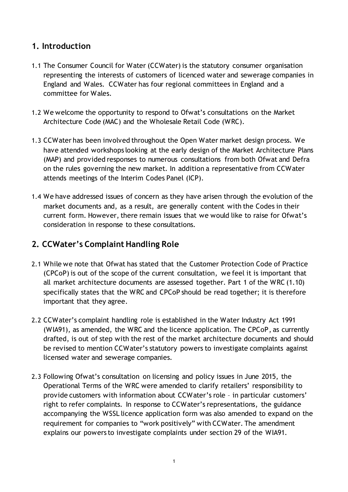# **1. Introduction**

- 1.1 The Consumer Council for Water (CCWater) is the statutory consumer organisation representing the interests of customers of licenced water and sewerage companies in England and Wales. CCWater has four regional committees in England and a committee for Wales.
- 1.2 We welcome the opportunity to respond to Ofwat's consultations on the Market Architecture Code (MAC) and the Wholesale Retail Code (WRC).
- 1.3 CCWater has been involved throughout the Open Water market design process. We have attended workshops looking at the early design of the Market Architecture Plans (MAP) and provided responses to numerous consultations from both Ofwat and Defra on the rules governing the new market. In addition a representative from CCWater attends meetings of the Interim Codes Panel (ICP).
- 1.4 We have addressed issues of concern as they have arisen through the evolution of the market documents and, as a result, are generally content with the Codes in their current form. However, there remain issues that we would like to raise for Ofwat's consideration in response to these consultations.

# **2. CCWater's Complaint Handling Role**

- 2.1 While we note that Ofwat has stated that the Customer Protection Code of Practice (CPCoP) is out of the scope of the current consultation, we feel it is important that all market architecture documents are assessed together. Part 1 of the WRC (1.10) specifically states that the WRC and CPCoP should be read together; it is therefore important that they agree.
- 2.2 CCWater's complaint handling role is established in the Water Industry Act 1991 (WIA91), as amended, the WRC and the licence application. The CPCoP, as currently drafted, is out of step with the rest of the market architecture documents and should be revised to mention CCWater's statutory powers to investigate complaints against licensed water and sewerage companies.
- 2.3 Following Ofwat's consultation on licensing and policy issues in June 2015, the Operational Terms of the WRC were amended to clarify retailers' responsibility to provide customers with information about CCWater's role – in particular customers' right to refer complaints. In response to CCWater's representations, the guidance accompanying the WSSL licence application form was also amended to expand on the requirement for companies to "work positively" with CCWater. The amendment explains our powers to investigate complaints under section 29 of the WIA91.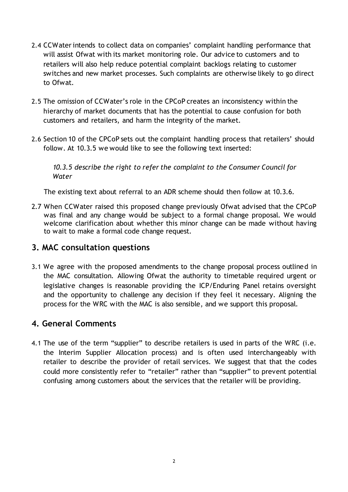- 2.4 CCWater intends to collect data on companies' complaint handling performance that will assist Ofwat with its market monitoring role. Our advice to customers and to retailers will also help reduce potential complaint backlogs relating to customer switches and new market processes. Such complaints are otherwise likely to go direct to Ofwat.
- 2.5 The omission of CCWater's role in the CPCoP creates an inconsistency within the hierarchy of market documents that has the potential to cause confusion for both customers and retailers, and harm the integrity of the market.
- 2.6 Section 10 of the CPCoP sets out the complaint handling process that retailers' should follow. At 10.3.5 we would like to see the following text inserted:

*10.3.5 describe the right to refer the complaint to the Consumer Council for Water*

The existing text about referral to an ADR scheme should then follow at 10.3.6.

2.7 When CCWater raised this proposed change previously Ofwat advised that the CPCoP was final and any change would be subject to a formal change proposal. We would welcome clarification about whether this minor change can be made without having to wait to make a formal code change request.

#### **3. MAC consultation questions**

3.1 We agree with the proposed amendments to the change proposal process outlined in the MAC consultation. Allowing Ofwat the authority to timetable required urgent or legislative changes is reasonable providing the ICP/Enduring Panel retains oversight and the opportunity to challenge any decision if they feel it necessary. Aligning the process for the WRC with the MAC is also sensible, and we support this proposal.

## **4. General Comments**

4.1 The use of the term "supplier" to describe retailers is used in parts of the WRC (i.e. the Interim Supplier Allocation process) and is often used interchangeably with retailer to describe the provider of retail services. We suggest that that the codes could more consistently refer to "retailer" rather than "supplier" to prevent potential confusing among customers about the services that the retailer will be providing.